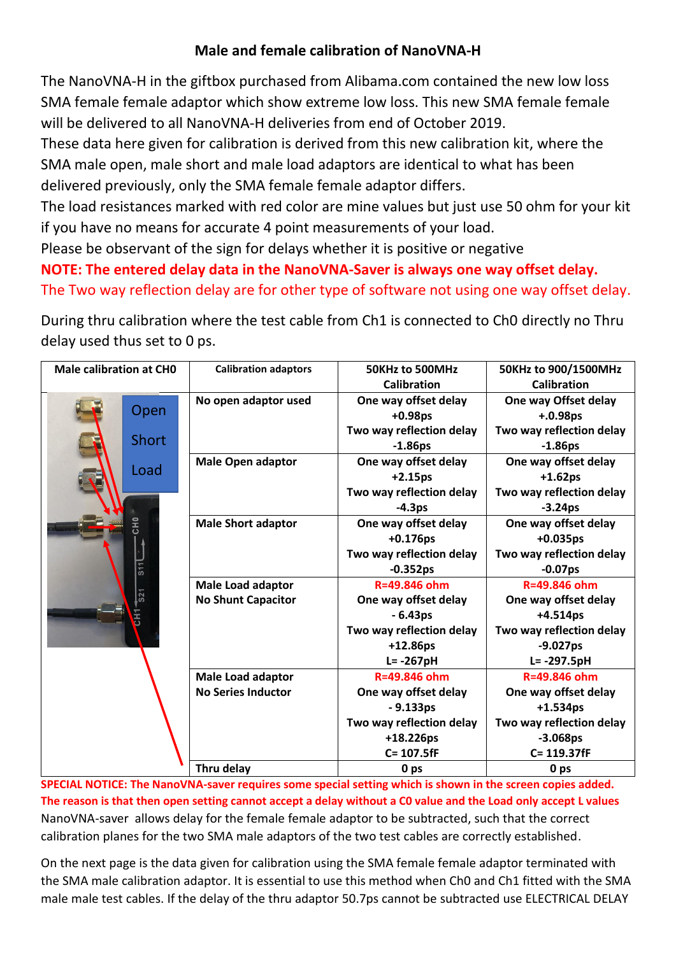# **Male and female calibration of NanoVNA-H**

The NanoVNA-H in the giftbox purchased from Alibama.com contained the new low loss SMA female female adaptor which show extreme low loss. This new SMA female female will be delivered to all NanoVNA-H deliveries from end of October 2019.

These data here given for calibration is derived from this new calibration kit, where the SMA male open, male short and male load adaptors are identical to what has been delivered previously, only the SMA female female adaptor differs.

The load resistances marked with red color are mine values but just use 50 ohm for your kit if you have no means for accurate 4 point measurements of your load.

Please be observant of the sign for delays whether it is positive or negative

## **NOTE: The entered delay data in the NanoVNA-Saver is always one way offset delay.** The Two way reflection delay are for other type of software not using one way offset delay.

During thru calibration where the test cable from Ch1 is connected to Ch0 directly no Thru delay used thus set to 0 ps.

| <b>Male calibration at CHO</b> |                          | <b>Calibration adaptors</b> | 50KHz to 500MHz          | 50KHz to 900/1500MHz     |  |  |
|--------------------------------|--------------------------|-----------------------------|--------------------------|--------------------------|--|--|
|                                |                          |                             | <b>Calibration</b>       | <b>Calibration</b>       |  |  |
|                                |                          | No open adaptor used        | One way offset delay     | One way Offset delay     |  |  |
|                                | Open                     |                             | $+0.98ps$                | $+.0.98ps$               |  |  |
|                                |                          |                             | Two way reflection delay | Two way reflection delay |  |  |
|                                | <b>Short</b>             |                             | $-1.86ps$                | $-1.86ps$                |  |  |
|                                |                          | <b>Male Open adaptor</b>    | One way offset delay     | One way offset delay     |  |  |
|                                | Load                     |                             | $+2.15ps$                | $+1.62ps$                |  |  |
|                                |                          |                             | Two way reflection delay | Two way reflection delay |  |  |
|                                |                          |                             | $-4.3ps$                 | $-3.24ps$                |  |  |
|                                | エ<br>ひ                   | <b>Male Short adaptor</b>   | One way offset delay     | One way offset delay     |  |  |
|                                |                          |                             | $+0.176$ ps              | $+0.035ps$               |  |  |
|                                |                          |                             | Two way reflection delay | Two way reflection delay |  |  |
|                                | 511                      |                             | $-0.352ps$               | $-0.07ps$                |  |  |
|                                |                          | <b>Male Load adaptor</b>    | R=49.846 ohm             | R=49.846 ohm             |  |  |
|                                | $\overline{\text{S2}}$ 1 | <b>No Shunt Capacitor</b>   | One way offset delay     | One way offset delay     |  |  |
|                                |                          |                             | $-6.43ps$                | $+4.514ps$               |  |  |
|                                |                          |                             | Two way reflection delay | Two way reflection delay |  |  |
|                                |                          |                             | $+12.86ps$               | $-9.027ps$               |  |  |
|                                |                          |                             | $L = -267pH$             | L= -297.5pH              |  |  |
|                                |                          | <b>Male Load adaptor</b>    | R=49.846 ohm             | R=49.846 ohm             |  |  |
|                                |                          | <b>No Series Inductor</b>   | One way offset delay     | One way offset delay     |  |  |
|                                |                          |                             | $-9.133ps$               | $+1.534ps$               |  |  |
|                                |                          |                             | Two way reflection delay | Two way reflection delay |  |  |
|                                |                          |                             | +18.226ps                | $-3.068ps$               |  |  |
|                                |                          |                             | C= 107.5fF               | C= 119.37fF              |  |  |
|                                |                          | Thru delay                  | 0 ps                     | 0 <sub>ps</sub>          |  |  |

**SPECIAL NOTICE: The NanoVNA-saver requires some special setting which is shown in the screen copies added. The reason is that then open setting cannot accept a delay without a C0 value and the Load only accept L values** NanoVNA-saver allows delay for the female female adaptor to be subtracted, such that the correct calibration planes for the two SMA male adaptors of the two test cables are correctly established.

On the next page is the data given for calibration using the SMA female female adaptor terminated with the SMA male calibration adaptor. It is essential to use this method when Ch0 and Ch1 fitted with the SMA male male test cables. If the delay of the thru adaptor 50.7ps cannot be subtracted use ELECTRICAL DELAY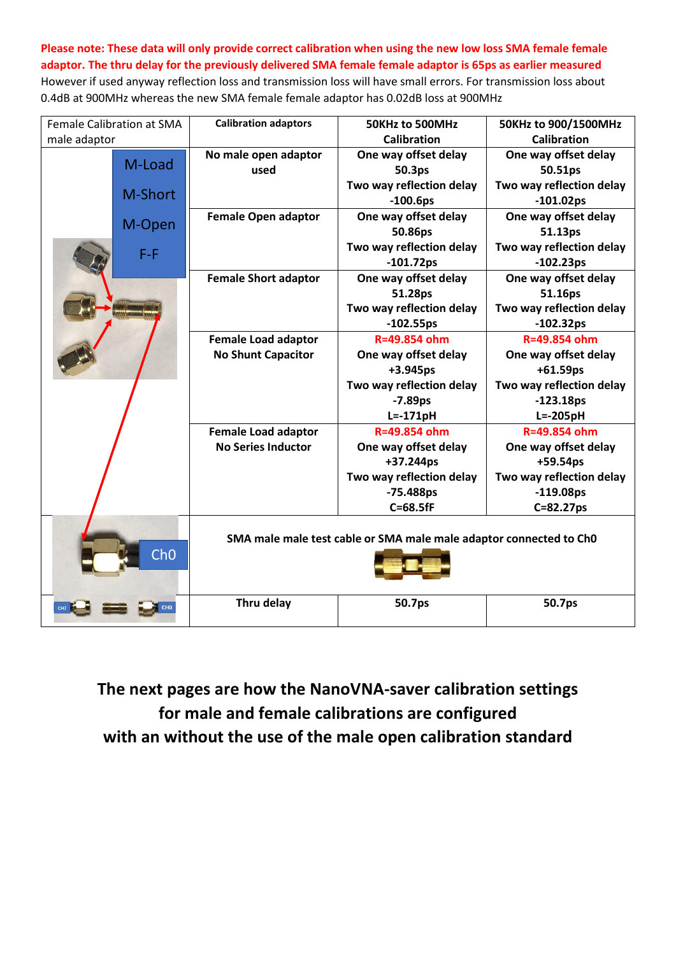### **Please note: These data will only provide correct calibration when using the new low loss SMA female female adaptor. The thru delay for the previously delivered SMA female female adaptor is 65ps as earlier measured**

However if used anyway reflection loss and transmission loss will have small errors. For transmission loss about 0.4dB at 900MHz whereas the new SMA female female adaptor has 0.02dB loss at 900MHz

|              | <b>Female Calibration at SMA</b> | <b>Calibration adaptors</b> | 50KHz to 500MHz                                                    | 50KHz to 900/1500MHz     |
|--------------|----------------------------------|-----------------------------|--------------------------------------------------------------------|--------------------------|
| male adaptor |                                  |                             | <b>Calibration</b>                                                 | <b>Calibration</b>       |
|              |                                  | No male open adaptor        | One way offset delay                                               | One way offset delay     |
|              | M-Load                           | used                        | 50.3ps                                                             | 50.51ps                  |
|              |                                  |                             | Two way reflection delay                                           | Two way reflection delay |
|              | M-Short                          |                             | $-100.6ps$                                                         | $-101.02ps$              |
|              |                                  | <b>Female Open adaptor</b>  | One way offset delay                                               | One way offset delay     |
|              | M-Open                           |                             | 50.86ps                                                            | 51.13ps                  |
|              | $F - F$                          |                             | Two way reflection delay                                           | Two way reflection delay |
|              |                                  |                             | $-101.72ps$                                                        | $-102.23ps$              |
|              |                                  | <b>Female Short adaptor</b> | One way offset delay                                               | One way offset delay     |
|              |                                  |                             | 51.28ps                                                            | 51.16ps                  |
|              |                                  |                             | Two way reflection delay                                           | Two way reflection delay |
|              |                                  |                             | $-102.55ps$                                                        | $-102.32ps$              |
|              |                                  | <b>Female Load adaptor</b>  | R=49.854 ohm                                                       | R=49.854 ohm             |
|              |                                  | <b>No Shunt Capacitor</b>   | One way offset delay                                               | One way offset delay     |
|              |                                  |                             | $+3.945ps$                                                         | $+61.59ps$               |
|              |                                  |                             | Two way reflection delay                                           | Two way reflection delay |
|              |                                  |                             | $-7.89ps$                                                          | $-123.18ps$              |
|              |                                  |                             | $L = -171pH$                                                       | $L = -205pH$             |
|              |                                  | <b>Female Load adaptor</b>  | R=49.854 ohm                                                       | R=49.854 ohm             |
|              |                                  | <b>No Series Inductor</b>   | One way offset delay                                               | One way offset delay     |
|              |                                  |                             | +37.244ps                                                          | $+59.54ps$               |
|              |                                  |                             | Two way reflection delay                                           | Two way reflection delay |
|              |                                  |                             | -75.488ps                                                          | $-119.08ps$              |
|              |                                  |                             | $C = 68.5fF$                                                       | C=82.27ps                |
|              | ChO                              |                             | SMA male male test cable or SMA male male adaptor connected to ChO |                          |
|              |                                  | Thru delay                  | 50.7ps                                                             | 50.7ps                   |

**The next pages are how the NanoVNA-saver calibration settings for male and female calibrations are configured with an without the use of the male open calibration standard**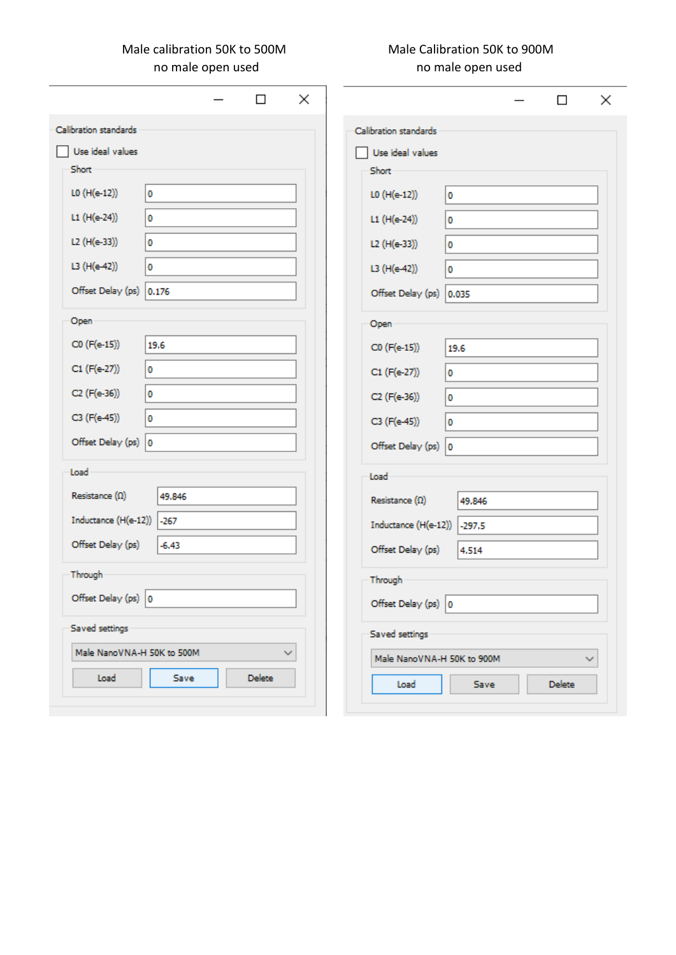## Male calibration 50K to 500M Male Calibration 50K to 900M no male open used no male open used

|                            |           | □             | ×            |
|----------------------------|-----------|---------------|--------------|
| Calibration standards      |           |               |              |
| Use ideal values           |           |               |              |
| Short                      |           |               |              |
| L0 (H(e-12))               | 0         |               |              |
| L1 (H(e-24))               | 0         |               |              |
| L2 (H(e-33))               | $\pmb{0}$ |               |              |
| L3 (H(e-42))               | 0         |               |              |
| Offset Delay (ps) 0.176    |           |               |              |
| Open                       |           |               |              |
| C0 (F(e-15))               | 19.6      |               |              |
| C1 (F(e-27))               | $\pmb{0}$ |               |              |
| C2 (F(e-36))               | 0         |               |              |
| C3 (F(e-45))               | 0         |               |              |
| Offset Delay (ps) 0        |           |               |              |
| Load                       |           |               |              |
| Resistance $(\Omega)$      | 49.846    |               |              |
| Inductance (H(e-12))       | $-267$    |               |              |
| Offset Delay (ps)          | $-6,43$   |               |              |
|                            |           |               |              |
| Through                    |           |               |              |
| Offset Delay (ps) 0        | ┍         |               |              |
| Saved settings             |           |               |              |
| Male NanoVNA-H 50K to 500M |           |               | $\checkmark$ |
| Load                       | Save      | <b>Delete</b> |              |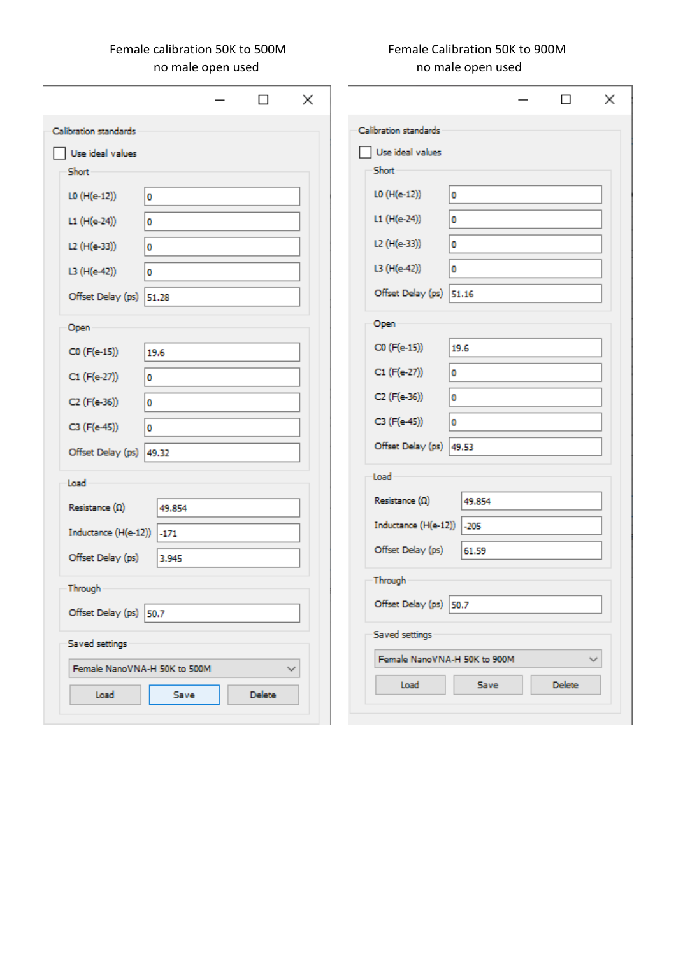## Female calibration 50K to 500M Female Calibration 50K to 900M no male open used no male open used

|                              |        | п      | ×            |                              |             | П             | ×            |
|------------------------------|--------|--------|--------------|------------------------------|-------------|---------------|--------------|
| Calibration standards        |        |        |              | Calibration standards        |             |               |              |
| Use ideal values             |        |        |              | Use ideal values             |             |               |              |
| Short                        |        |        |              | Short                        |             |               |              |
| L0 (H(e-12))                 | O      |        |              | L0 (H(e-12))                 | 0           |               |              |
| L1 (H(e-24))                 | O      |        |              | L1 (H(e-24))                 | 0           |               |              |
| L2 (H(e-33))                 | 0      |        |              | L2 (H(e-33))                 | 0           |               |              |
| L3 (H(e-42))                 | O      |        |              | L3 (H(e-42))                 | 0           |               |              |
| Offset Delay (ps) 51.28      |        |        |              | Offset Delay (ps) 51.16      |             |               |              |
| Open                         |        |        |              | Open                         |             |               |              |
| C0 (F(e-15))                 | 19.6   |        |              | C0 (F(e-15))                 | 19.6        |               |              |
|                              |        |        |              | C1 (F(e-27))                 | 0           |               |              |
| C1 (F(e-27))                 | 0      |        |              |                              |             |               |              |
| C2 (F(e-36))                 | 0      |        |              | C2 (F(e-36))                 | 0           |               |              |
| C3 (F(e-45))                 | O      |        |              | C3 (F(e-45))                 | 0           |               |              |
| Offset Delay (ps) 49.32      |        |        |              | Offset Delay (ps) 49.53      |             |               |              |
| Load                         |        |        |              | Load                         |             |               |              |
| Resistance $(\Omega)$        | 49,854 |        |              | Resistance $(\Omega)$        | 49.854      |               |              |
| Inductance (H(e-12))         | $-171$ |        |              | Inductance (H(e-12))         | $-205$      |               |              |
| Offset Delay (ps)            | 3.945  |        |              | Offset Delay (ps)            | 61.59       |               |              |
| Through                      |        |        |              | Through                      |             |               |              |
| Offset Delay (ps) 50.7       |        |        |              | Offset Delay (ps) 50.7       |             |               |              |
| Saved settings               |        |        |              | Saved settings               |             |               |              |
| Female NanoVNA-H 50K to 500M |        |        | $\checkmark$ | Female NanoVNA-H 50K to 900M |             |               | $\checkmark$ |
| Load                         | Save   | Delete |              | Load                         | <b>Save</b> | <b>Delete</b> |              |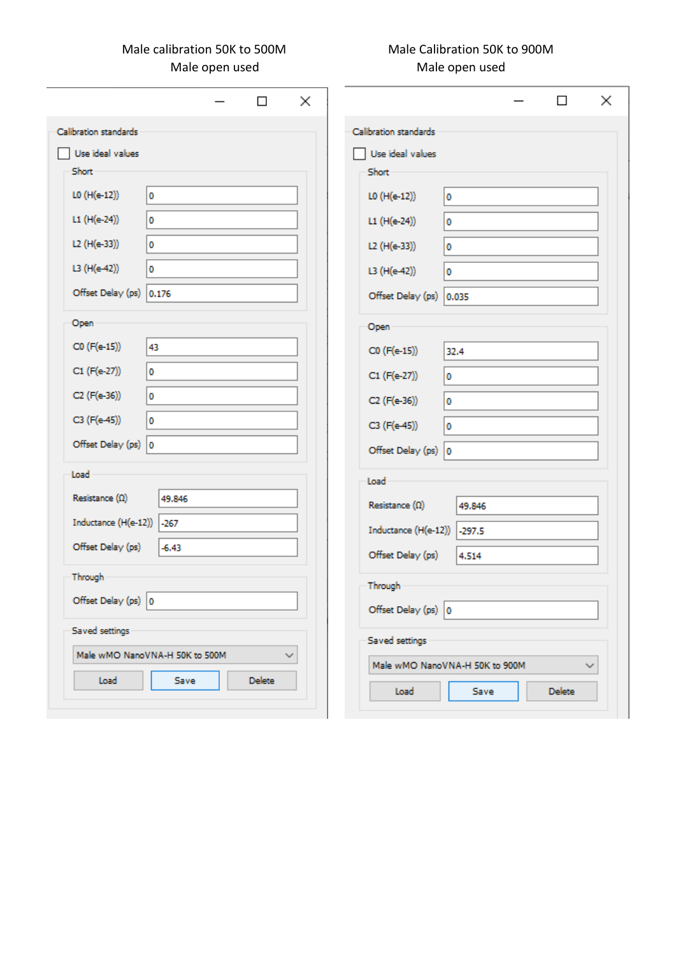Male open used

# Male calibration 50K to 500M Male Calibration 50K to 900M<br>Male open used Male open used Male open used

|                                |                | □             | ×            |                                |                    | □             |              |
|--------------------------------|----------------|---------------|--------------|--------------------------------|--------------------|---------------|--------------|
| Calibration standards          |                |               |              | Calibration standards          |                    |               |              |
| Use ideal values               |                |               |              | Use ideal values               |                    |               |              |
| Short                          |                |               |              | Short                          |                    |               |              |
| L0 (H(e-12))                   | O              |               |              | L0 (H(e-12))                   | $\pmb{\mathsf{o}}$ |               |              |
| L1 (H(e-24))                   | 0              |               |              | L1 (H(e-24))                   | 0                  |               |              |
| L2 (H(e-33))                   | $\bullet$      |               |              | L2 (H(e-33))                   | 0                  |               |              |
| L3 (H(e-42))                   | 0              |               |              | L3 (H(e-42))                   | $\bullet$          |               |              |
| Offset Delay (ps)              | 0.176          |               |              | Offset Delay (ps) 0.035        |                    |               |              |
| Open                           |                |               |              | Open                           |                    |               |              |
| C0 (F(e-15))                   | 43             |               |              | C0 (F(e-15))                   | 32.4               |               |              |
| C1 (F(e-27))                   | O              |               |              | C1 (F(e-27))                   | 0                  |               |              |
| C2 (F(e-36))                   | 0              |               |              | C2 (F(e-36))                   | $\mathbf 0$        |               |              |
| C3 (F(e-45))                   | $\pmb{0}$      |               |              | C3 (F(e-45))                   | 0                  |               |              |
| Offset Delay (ps) 0            |                |               |              | Offset Delay (ps) 0            |                    |               |              |
| Load                           |                |               |              | Load                           |                    |               |              |
| Resistance $(\Omega)$          | 49.846         |               |              | Resistance $(\Omega)$          | 49.846             |               |              |
| Inductance (H(e-12))           | $-267$         |               |              | Inductance (H(e-12))           | $-297.5$           |               |              |
| Offset Delay (ps)              | $-6.43$        |               |              | Offset Delay (ps)              | 4.514              |               |              |
| Through                        |                |               |              |                                |                    |               |              |
| Offset Delay (ps) 0            | $\overline{ }$ |               |              | Through                        |                    |               |              |
|                                |                |               |              | Offset Delay (ps) 0            |                    |               |              |
| Saved settings                 |                |               |              | Saved settings                 |                    |               |              |
| Male wMO NanoVNA-H 50K to 500M |                |               | $\checkmark$ | Male wMO NanoVNA-H 50K to 900M |                    |               | $\checkmark$ |
| Load                           | Save           | <b>Delete</b> |              | Load                           | Save               | <b>Delete</b> |              |